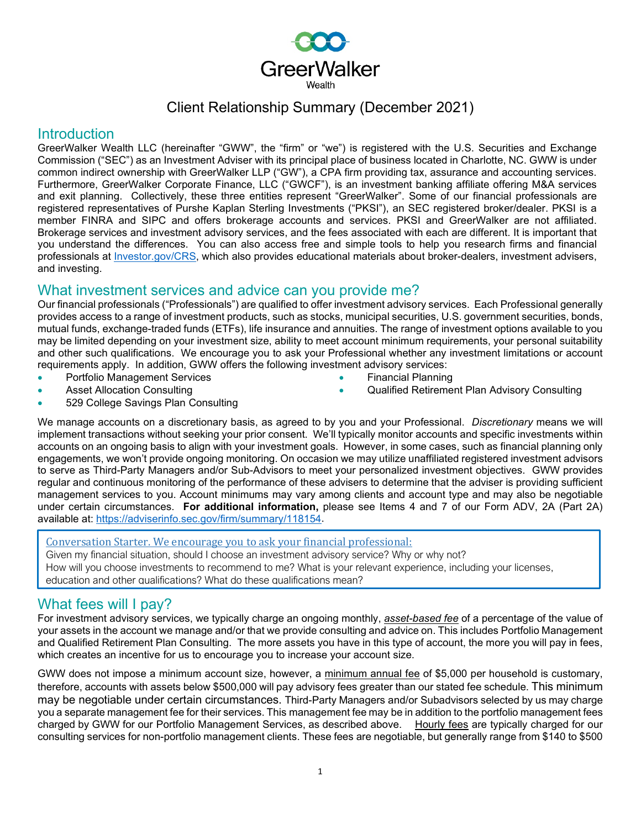

# Client Relationship Summary (December 2021)

#### Introduction

GreerWalker Wealth LLC (hereinafter "GWW", the "firm" or "we") is registered with the U.S. Securities and Exchange Commission ("SEC") as an Investment Adviser with its principal place of business located in Charlotte, NC. GWW is under common indirect ownership with GreerWalker LLP ("GW"), a CPA firm providing tax, assurance and accounting services. Furthermore, GreerWalker Corporate Finance, LLC ("GWCF"), is an investment banking affiliate offering M&A services and exit planning. Collectively, these three entities represent "GreerWalker". Some of our financial professionals are registered representatives of Purshe Kaplan Sterling Investments ("PKSI"), an SEC registered broker/dealer. PKSI is a member FINRA and SIPC and offers brokerage accounts and services. PKSI and GreerWalker are not affiliated. Brokerage services and investment advisory services, and the fees associated with each are different. It is important that you understand the differences. You can also access free and simple tools to help you research firms and financial professionals at Investor.gov/CRS, which also provides educational materials about broker-dealers, investment advisers, and investing.

## What investment services and advice can you provide me?

Our financial professionals ("Professionals") are qualified to offer investment advisory services. Each Professional generally provides access to a range of investment products, such as stocks, municipal securities, U.S. government securities, bonds, mutual funds, exchange-traded funds (ETFs), life insurance and annuities. The range of investment options available to you may be limited depending on your investment size, ability to meet account minimum requirements, your personal suitability and other such qualifications. We encourage you to ask your Professional whether any investment limitations or account requirements apply. In addition, GWW offers the following investment advisory services:

• Portfolio Management Services

• Financial Planning

- **Asset Allocation Consulting** 
	- 529 College Savings Plan Consulting
- Qualified Retirement Plan Advisory Consulting

We manage accounts on a discretionary basis, as agreed to by you and your Professional. *Discretionary* means we will implement transactions without seeking your prior consent. We'll typically monitor accounts and specific investments within accounts on an ongoing basis to align with your investment goals. However, in some cases, such as financial planning only engagements, we won't provide ongoing monitoring. On occasion we may utilize unaffiliated registered investment advisors to serve as Third-Party Managers and/or Sub-Advisors to meet your personalized investment objectives. GWW provides regular and continuous monitoring of the performance of these advisers to determine that the adviser is providing sufficient management services to you. Account minimums may vary among clients and account type and may also be negotiable under certain circumstances. **For additional information,** please see Items 4 and 7 of our Form ADV, 2A (Part 2A) available at: [https://adviserinfo.sec.gov/firm/summary/118154.](https://adviserinfo.sec.gov/firm/summary/118154)

Conversation Starter. We encourage you to ask your financial professional:

Given my financial situation, should I choose an investment advisory service? Why or why not? How will you choose investments to recommend to me? What is your relevant experience, including your licenses, education and other qualifications? What do these qualifications mean?

## What fees will I pay?

For investment advisory services, we typically charge an ongoing monthly, *asset-based fee* of a percentage of the value of your assets in the account we manage and/or that we provide consulting and advice on. This includes Portfolio Management and Qualified Retirement Plan Consulting. The more assets you have in this type of account, the more you will pay in fees, which creates an incentive for us to encourage you to increase your account size.

GWW does not impose a minimum account size, however, a minimum annual fee of \$5,000 per household is customary, therefore, accounts with assets below \$500,000 will pay advisory fees greater than our stated fee schedule. This minimum may be negotiable under certain circumstances. Third-Party Managers and/or Subadvisors selected by us may charge you a separate management fee for their services. This management fee may be in addition to the portfolio management fees charged by GWW for our Portfolio Management Services, as described above. Hourly fees are typically charged for our consulting services for non-portfolio management clients. These fees are negotiable, but generally range from \$140 to \$500